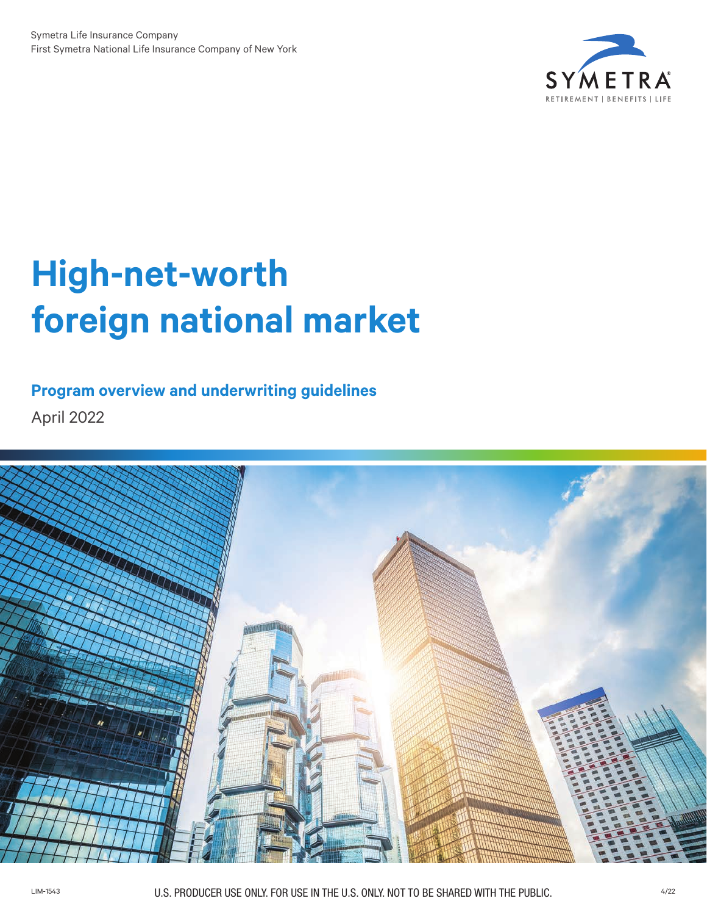

# **High-net-worth foreign national market**

# **Program overview and underwriting guidelines**

April 2022

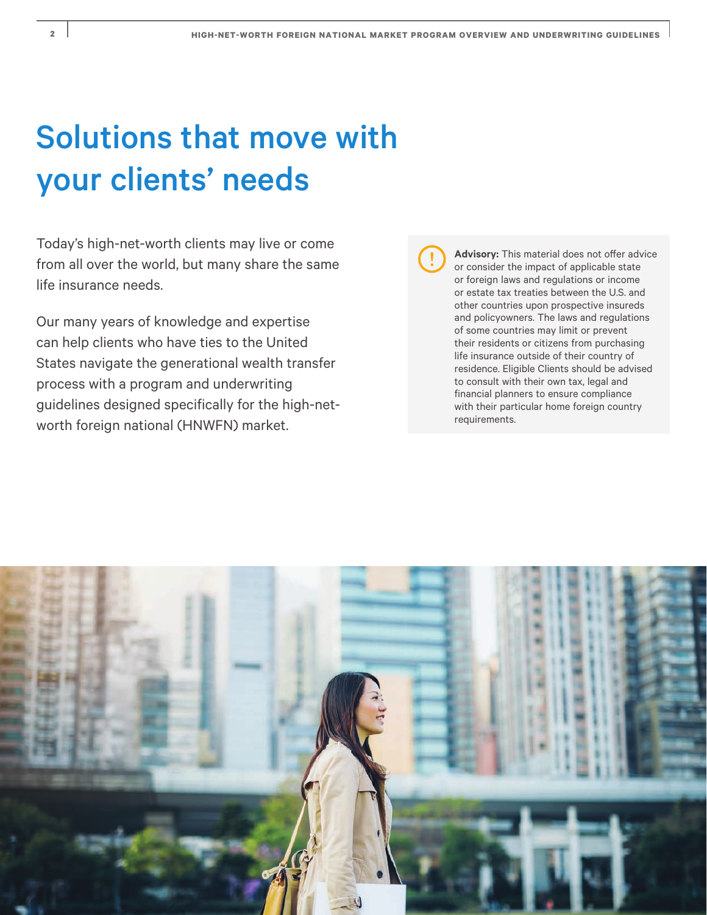# Solutions that move with your clients' needs

Today's high-net-worth clients may live or come from all over the world, but many share the same life insurance needs.

Our many years of knowledge and expertise can help clients who have ties to the United States navigate the generational wealth transfer process with a program and underwriting guidelines designed specifically for the high-networth foreign national (HNWFN) market.

**Advisory:** This material does not offer advice or consider the impact of applicable state or foreign laws and regulations or income or estate tax treaties between the U.S. and other countries upon prospective insureds and policyowners. The laws and regulations of some countries may limit or prevent their residents or citizens from purchasing life insurance outside of their country of residence. Eligible Clients should be advised to consult with their own tax, legal and financial planners to ensure compliance with their particular home foreign country requirements.

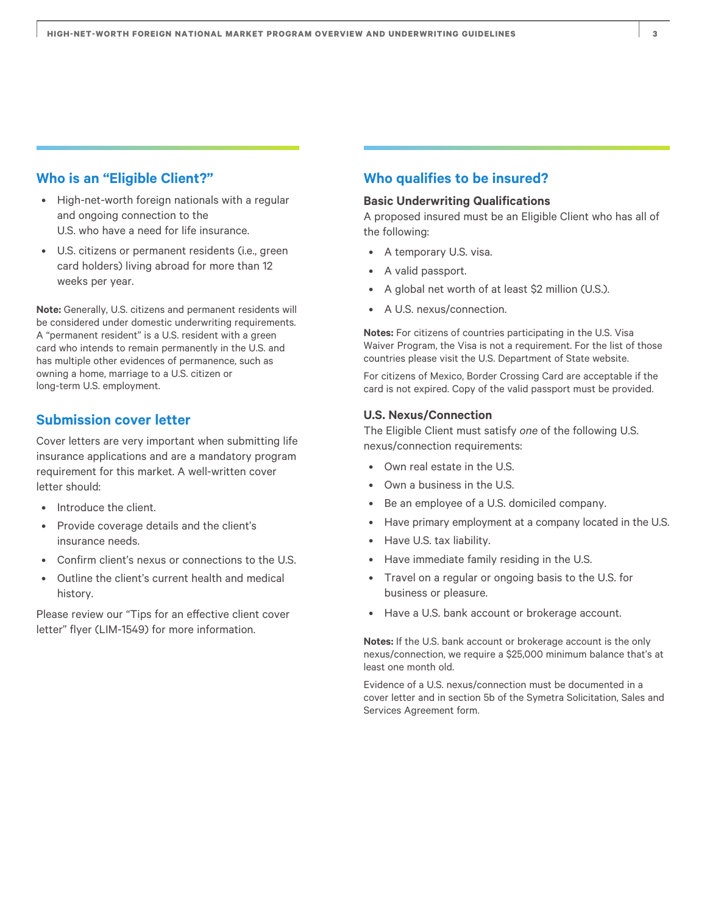### **Who is an "Eligible Client?"**

- High-net-worth foreign nationals with a regular and ongoing connection to the U.S. who have a need for life insurance.
- U.S. citizens or permanent residents (i.e., green card holders) living abroad for more than 12 weeks per year.

**Note:** Generally, U.S. citizens and permanent residents will be considered under domestic underwriting requirements. A "permanent resident" is a U.S. resident with a green card who intends to remain permanently in the U.S. and has multiple other evidences of permanence, such as owning a home, marriage to a U.S. citizen or long-term U.S. employment.

## **Submission cover letter**

Cover letters are very important when submitting life insurance applications and are a mandatory program requirement for this market. A well-written cover letter should:

- Introduce the client.
- Provide coverage details and the client's insurance needs.
- Confirm client's nexus or connections to the U.S.
- Outline the client's current health and medical history.

Please review our "Tips for an effective client cover letter" flyer (LIM-1549) for more information.

## **Who qualifies to be insured?**

#### **Basic Underwriting Qualifications**

A proposed insured must be an Eligible Client who has all of the following:

- A temporary U.S. visa.
- A valid passport.
- A global net worth of at least \$2 million (U.S.).
- A U.S. nexus/connection.

**Notes:** For citizens of countries participating in the U.S. Visa Waiver Program, the Visa is not a requirement. For the list of those countries please visit the U.S. Department of State website.

For citizens of Mexico, Border Crossing Card are acceptable if the card is not expired. Copy of the valid passport must be provided.

#### **U.S. Nexus/Connection**

The Eligible Client must satisfy *one* of the following U.S. nexus/connection requirements:

- Own real estate in the U.S.
- Own a business in the U.S.
- Be an employee of a U.S. domiciled company.
- Have primary employment at a company located in the U.S.
- Have U.S. tax liability.
- Have immediate family residing in the U.S.
- Travel on a regular or ongoing basis to the U.S. for business or pleasure.
- Have a U.S. bank account or brokerage account.

**Notes:** If the U.S. bank account or brokerage account is the only nexus/connection, we require a \$25,000 minimum balance that's at least one month old.

Evidence of a U.S. nexus/connection must be documented in a cover letter and in section 5b of the Symetra Solicitation, Sales and Services Agreement form.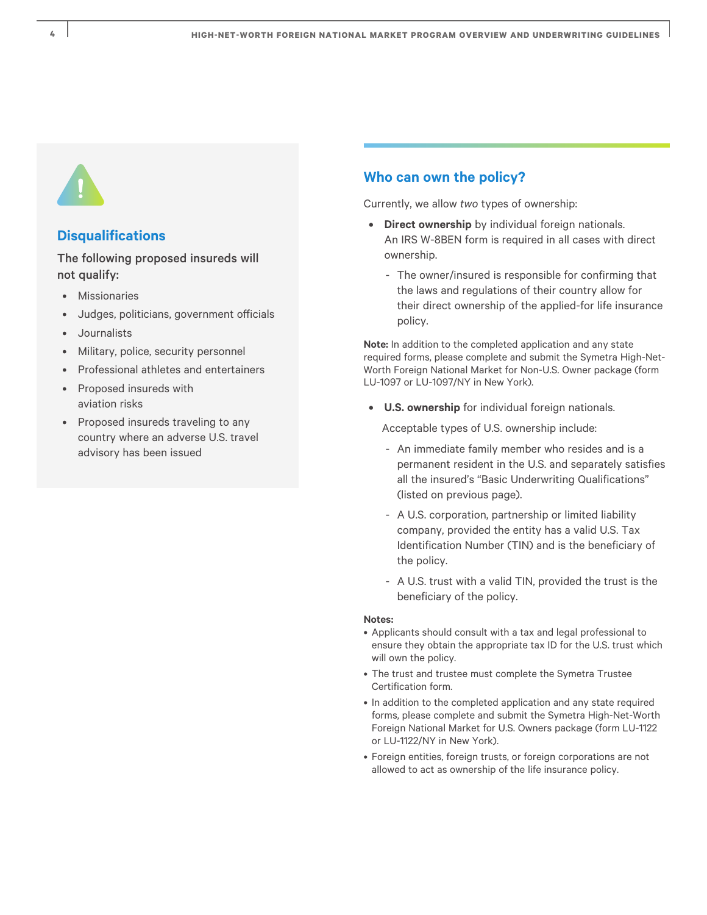

# **Disqualifications**

The following proposed insureds will not qualify:

- **Missionaries**
- Judges, politicians, government officials
- Journalists
- Military, police, security personnel
- Professional athletes and entertainers
- Proposed insureds with aviation risks
- Proposed insureds traveling to any country where an adverse U.S. travel advisory has been issued

## **Who can own the policy?**

Currently, we allow *two* types of ownership:

- **• Direct ownership** by individual foreign nationals. An IRS W-8BEN form is required in all cases with direct ownership.
	- The owner/insured is responsible for confirming that the laws and regulations of their country allow for their direct ownership of the applied-for life insurance policy.

**Note:** In addition to the completed application and any state required forms, please complete and submit the Symetra High-Net-Worth Foreign National Market for Non-U.S. Owner package (form LU-1097 or LU-1097/NY in New York).

**• U.S. ownership** for individual foreign nationals.

Acceptable types of U.S. ownership include:

- An immediate family member who resides and is a permanent resident in the U.S. and separately satisfies all the insured's "Basic Underwriting Qualifications" (listed on previous page).
- A U.S. corporation, partnership or limited liability company, provided the entity has a valid U.S. Tax Identification Number (TIN) and is the beneficiary of the policy.
- A U.S. trust with a valid TIN, provided the trust is the beneficiary of the policy.

#### **Notes:**

- Applicants should consult with a tax and legal professional to ensure they obtain the appropriate tax ID for the U.S. trust which will own the policy.
- The trust and trustee must complete the Symetra Trustee Certification form.
- In addition to the completed application and any state required forms, please complete and submit the Symetra High-Net-Worth Foreign National Market for U.S. Owners package (form LU-1122 or LU-1122/NY in New York).
- Foreign entities, foreign trusts, or foreign corporations are not allowed to act as ownership of the life insurance policy.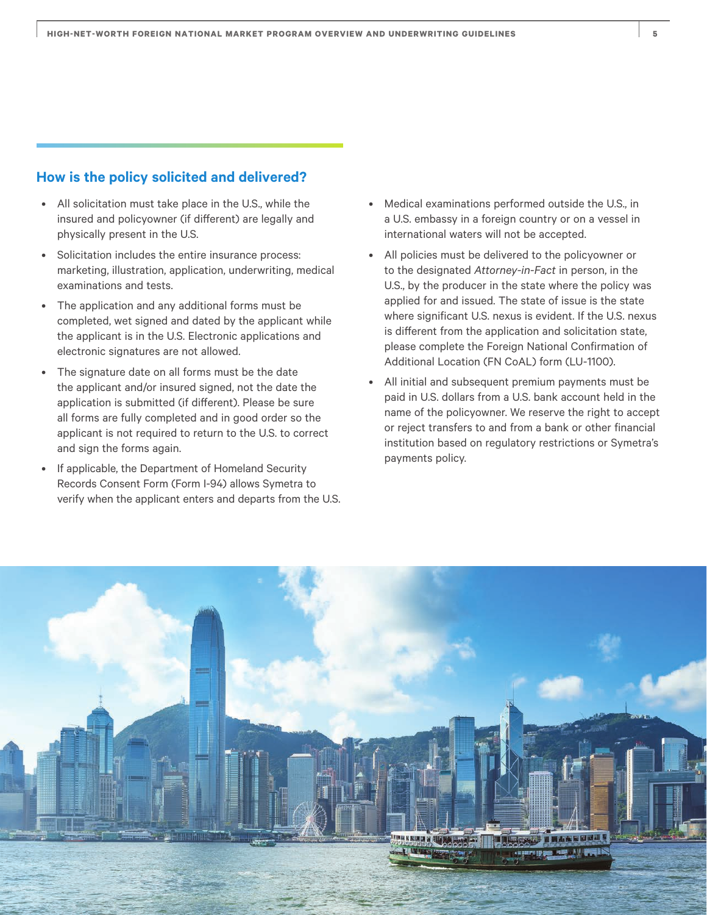### **How is the policy solicited and delivered?**

- All solicitation must take place in the U.S., while the insured and policyowner (if different) are legally and physically present in the U.S.
- Solicitation includes the entire insurance process: marketing, illustration, application, underwriting, medical examinations and tests.
- The application and any additional forms must be completed, wet signed and dated by the applicant while the applicant is in the U.S. Electronic applications and electronic signatures are not allowed.
- The signature date on all forms must be the date the applicant and/or insured signed, not the date the application is submitted (if different). Please be sure all forms are fully completed and in good order so the applicant is not required to return to the U.S. to correct and sign the forms again.
- If applicable, the Department of Homeland Security Records Consent Form (Form I-94) allows Symetra to verify when the applicant enters and departs from the U.S.
- Medical examinations performed outside the U.S., in a U.S. embassy in a foreign country or on a vessel in international waters will not be accepted.
- All policies must be delivered to the policyowner or to the designated *Attorney-in-Fact* in person, in the U.S., by the producer in the state where the policy was applied for and issued. The state of issue is the state where significant U.S. nexus is evident. If the U.S. nexus is different from the application and solicitation state, please complete the Foreign National Confirmation of Additional Location (FN CoAL) form (LU-1100).
- All initial and subsequent premium payments must be paid in U.S. dollars from a U.S. bank account held in the name of the policyowner. We reserve the right to accept or reject transfers to and from a bank or other financial institution based on regulatory restrictions or Symetra's payments policy.

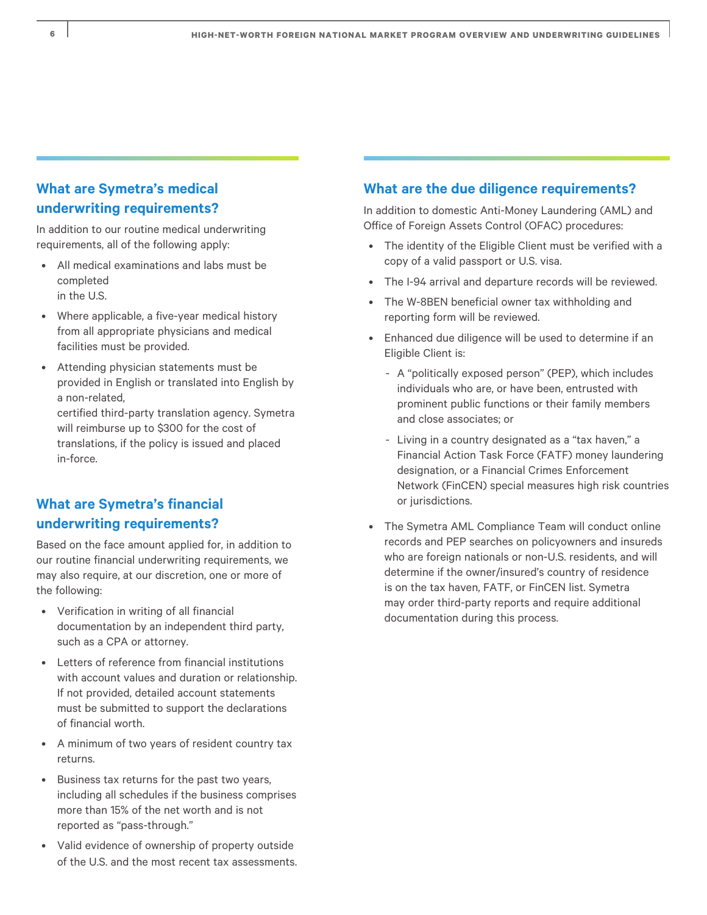# **What are Symetra's medical underwriting requirements?**

In addition to our routine medical underwriting requirements, all of the following apply:

- All medical examinations and labs must be completed in the U.S.
- Where applicable, a five-year medical history from all appropriate physicians and medical facilities must be provided.
- Attending physician statements must be provided in English or translated into English by a non-related,

certified third-party translation agency. Symetra will reimburse up to \$300 for the cost of translations, if the policy is issued and placed in-force.

# **What are Symetra's financial underwriting requirements?**

Based on the face amount applied for, in addition to our routine financial underwriting requirements, we may also require, at our discretion, one or more of the following:

- Verification in writing of all financial documentation by an independent third party, such as a CPA or attorney.
- Letters of reference from financial institutions with account values and duration or relationship. If not provided, detailed account statements must be submitted to support the declarations of financial worth.
- A minimum of two years of resident country tax returns.
- Business tax returns for the past two years, including all schedules if the business comprises more than 15% of the net worth and is not reported as "pass-through."
- Valid evidence of ownership of property outside of the U.S. and the most recent tax assessments.

# **What are the due diligence requirements?**

In addition to domestic Anti-Money Laundering (AML) and Office of Foreign Assets Control (OFAC) procedures:

- The identity of the Eligible Client must be verified with a copy of a valid passport or U.S. visa.
- The I-94 arrival and departure records will be reviewed.
- The W-8BEN beneficial owner tax withholding and reporting form will be reviewed.
- Enhanced due diligence will be used to determine if an Eligible Client is:
	- A "politically exposed person" (PEP), which includes individuals who are, or have been, entrusted with prominent public functions or their family members and close associates; or
	- Living in a country designated as a "tax haven," a Financial Action Task Force (FATF) money laundering designation, or a Financial Crimes Enforcement Network (FinCEN) special measures high risk countries or jurisdictions.
- The Symetra AML Compliance Team will conduct online records and PEP searches on policyowners and insureds who are foreign nationals or non-U.S. residents, and will determine if the owner/insured's country of residence is on the tax haven, FATF, or FinCEN list. Symetra may order third-party reports and require additional documentation during this process.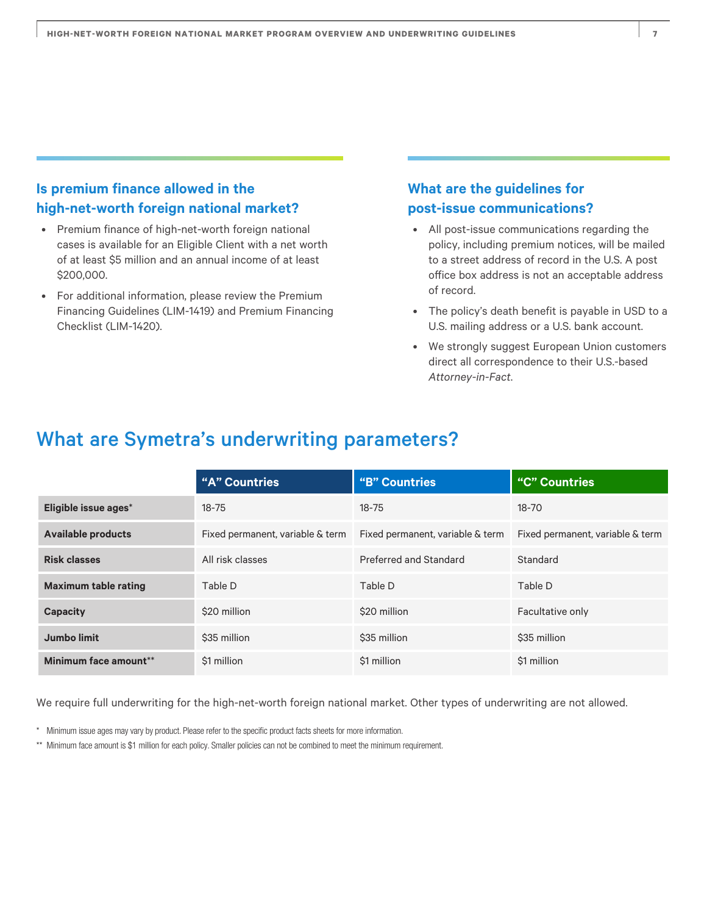# **Is premium finance allowed in the high-net-worth foreign national market?**

- Premium finance of high-net-worth foreign national cases is available for an Eligible Client with a net worth of at least \$5 million and an annual income of at least \$200,000.
- For additional information, please review the Premium Financing Guidelines (LIM-1419) and Premium Financing Checklist (LIM-1420).

# **What are the guidelines for post-issue communications?**

- All post-issue communications regarding the policy, including premium notices, will be mailed to a street address of record in the U.S. A post office box address is not an acceptable address of record.
- The policy's death benefit is payable in USD to a U.S. mailing address or a U.S. bank account.
- We strongly suggest European Union customers direct all correspondence to their U.S.-based *Attorney-in-Fact*.

# What are Symetra's underwriting parameters?

|                             | "A" Countries                    | "B" Countries                    | "C" Countries                    |
|-----------------------------|----------------------------------|----------------------------------|----------------------------------|
| Eligible issue ages*        | $18 - 75$                        | $18 - 75$                        | 18-70                            |
| <b>Available products</b>   | Fixed permanent, variable & term | Fixed permanent, variable & term | Fixed permanent, variable & term |
| <b>Risk classes</b>         | All risk classes                 | Preferred and Standard           | Standard                         |
| <b>Maximum table rating</b> | Table D                          | Table D                          | Table D                          |
| Capacity                    | \$20 million                     | \$20 million                     | Facultative only                 |
| Jumbo limit                 | \$35 million                     | \$35 million                     | \$35 million                     |
| Minimum face amount**       | \$1 million                      | \$1 million                      | \$1 million                      |

We require full underwriting for the high-net-worth foreign national market. Other types of underwriting are not allowed.

- \* Minimum issue ages may vary by product. Please refer to the specific product facts sheets for more information.
- \*\* Minimum face amount is \$1 million for each policy. Smaller policies can not be combined to meet the minimum requirement.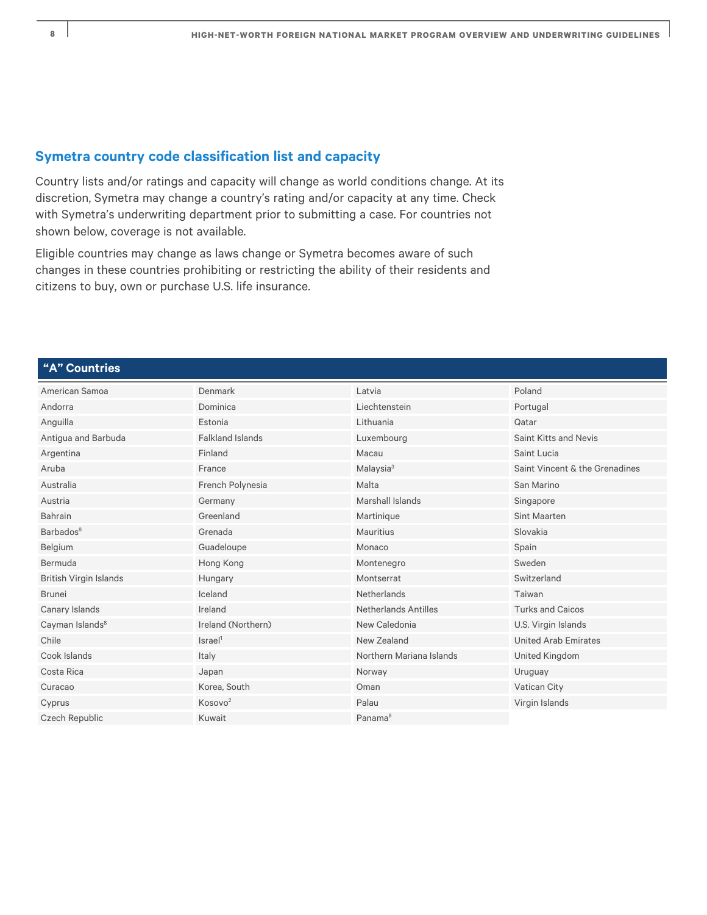# **Symetra country code classification list and capacity**

Country lists and/or ratings and capacity will change as world conditions change. At its discretion, Symetra may change a country's rating and/or capacity at any time. Check with Symetra's underwriting department prior to submitting a case. For countries not shown below, coverage is not available.

Eligible countries may change as laws change or Symetra becomes aware of such changes in these countries prohibiting or restricting the ability of their residents and citizens to buy, own or purchase U.S. life insurance.

### **"A" Countries**

| American Samoa                | Denmark                 | Latvia                      | Poland                         |
|-------------------------------|-------------------------|-----------------------------|--------------------------------|
|                               |                         |                             |                                |
| Andorra                       | Dominica                | Liechtenstein               | Portugal                       |
| Anguilla                      | Estonia                 | Lithuania                   | Qatar                          |
| Antigua and Barbuda           | <b>Falkland Islands</b> | Luxembourg                  | <b>Saint Kitts and Nevis</b>   |
| Argentina                     | Finland                 | Macau                       | Saint Lucia                    |
| Aruba                         | France                  | Malaysia <sup>3</sup>       | Saint Vincent & the Grenadines |
| Australia                     | French Polynesia        | Malta                       | San Marino                     |
| Austria                       | Germany                 | Marshall Islands            | Singapore                      |
| Bahrain                       | Greenland               | Martinique                  | <b>Sint Maarten</b>            |
| Barbados <sup>8</sup>         | Grenada                 | Mauritius                   | Slovakia                       |
| Belgium                       | Guadeloupe              | Monaco                      | Spain                          |
| Bermuda                       | Hong Kong               | Montenegro                  | Sweden                         |
| <b>British Virgin Islands</b> | Hungary                 | Montserrat                  | Switzerland                    |
| <b>Brunei</b>                 | Iceland                 | <b>Netherlands</b>          | Taiwan                         |
| Canary Islands                | Ireland                 | <b>Netherlands Antilles</b> | <b>Turks and Caicos</b>        |
| Cayman Islands <sup>8</sup>   | Ireland (Northern)      | New Caledonia               | U.S. Virgin Islands            |
| Chile                         | Israel <sup>1</sup>     | New Zealand                 | <b>United Arab Emirates</b>    |
| Cook Islands                  | Italy                   | Northern Mariana Islands    | United Kingdom                 |
| Costa Rica                    | Japan                   | Norway                      | Uruguay                        |
| Curacao                       | Korea, South            | Oman                        | <b>Vatican City</b>            |
| Cyprus                        | Kosovo <sup>2</sup>     | Palau                       | Virgin Islands                 |
| Czech Republic                | Kuwait                  | Panama <sup>8</sup>         |                                |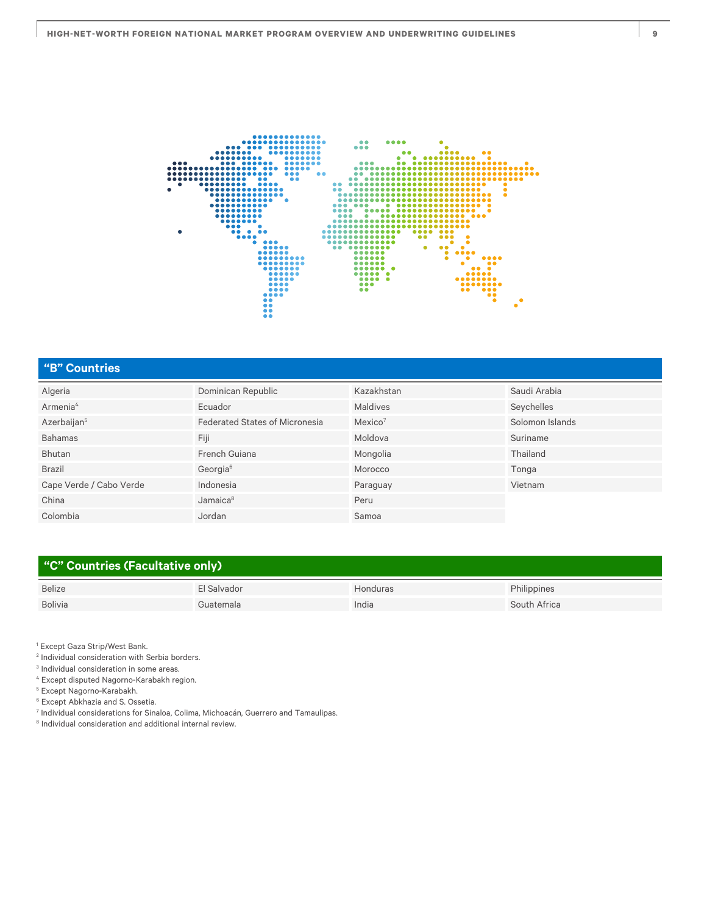

# **"B" Countries**

| Algeria                 | Dominican Republic                    | Kazakhstan          | Saudi Arabia    |
|-------------------------|---------------------------------------|---------------------|-----------------|
| Armenia <sup>4</sup>    | Ecuador                               | <b>Maldives</b>     | Seychelles      |
| Azerbaijan <sup>5</sup> | <b>Federated States of Micronesia</b> | Mexico <sup>7</sup> | Solomon Islands |
| <b>Bahamas</b>          | Fiji                                  | Moldova             | Suriname        |
| Bhutan                  | French Guiana                         | Mongolia            | Thailand        |
| <b>Brazil</b>           | Georgia <sup>6</sup>                  | Morocco             | Tonga           |
| Cape Verde / Cabo Verde | Indonesia                             | Paraguay            | Vietnam         |
| China                   | Jamaica <sup>8</sup>                  | Peru                |                 |
| Colombia                | Jordan                                | Samoa               |                 |

## **"C" Countries (Facultative only)**

| <b>Belize</b> | 'I Salvador | londuras | Philippines  |
|---------------|-------------|----------|--------------|
| Bolivia       | ;uatemala   | India    | South Africa |

<sup>1</sup> Except Gaza Strip/West Bank.

2 Individual consideration with Serbia borders.

3 Individual consideration in some areas.

4 Except disputed Nagorno-Karabakh region.

5 Except Nagorno-Karabakh.

6 Except Abkhazia and S. Ossetia.

7 Individual considerations for Sinaloa, Colima, Michoacán, Guerrero and Tamaulipas.

<sup>8</sup> Individual consideration and additional internal review.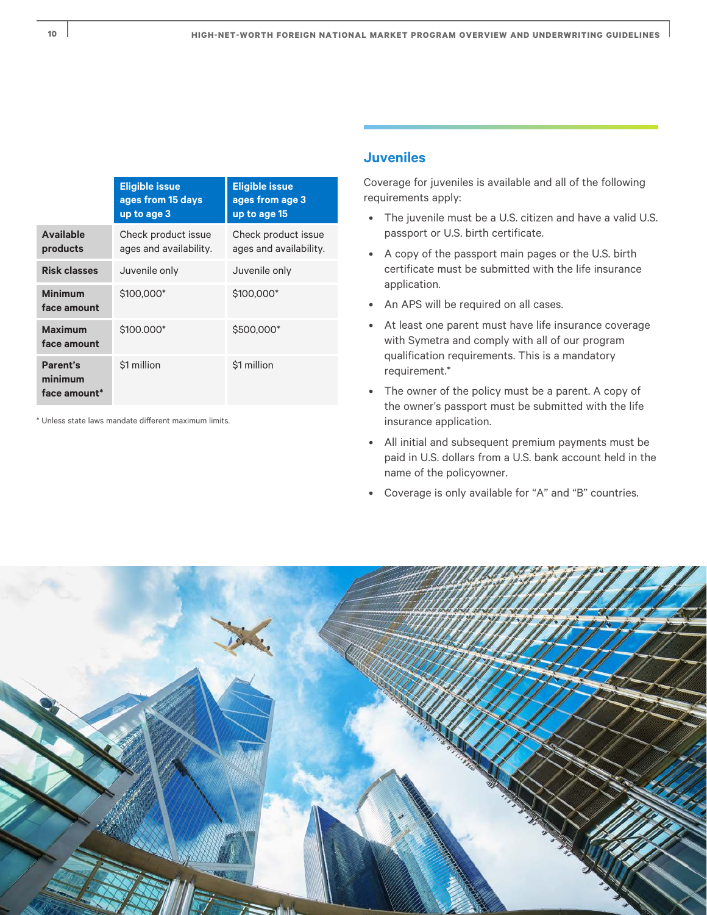|                                     | <b>Eligible issue</b><br>ages from 15 days<br>up to age 3 | <b>Eligible issue</b><br>ages from age 3<br>up to age 15 |
|-------------------------------------|-----------------------------------------------------------|----------------------------------------------------------|
| <b>Available</b><br>products        | Check product issue<br>ages and availability.             | Check product issue<br>ages and availability.            |
| <b>Risk classes</b>                 | Juvenile only                                             | Juvenile only                                            |
| <b>Minimum</b><br>face amount       | \$100,000*                                                | \$100,000*                                               |
| <b>Maximum</b><br>face amount       | \$100.000*                                                | \$500,000*                                               |
| Parent's<br>minimum<br>face amount* | \$1 million                                               | \$1 million                                              |

\* Unless state laws mandate different maximum limits.

# **Juveniles**

Coverage for juveniles is available and all of the following requirements apply:

- The juvenile must be a U.S. citizen and have a valid U.S. passport or U.S. birth certificate.
- A copy of the passport main pages or the U.S. birth certificate must be submitted with the life insurance application.
- An APS will be required on all cases.
- At least one parent must have life insurance coverage with Symetra and comply with all of our program qualification requirements. This is a mandatory requirement.\*
- The owner of the policy must be a parent. A copy of the owner's passport must be submitted with the life insurance application.
- All initial and subsequent premium payments must be paid in U.S. dollars from a U.S. bank account held in the name of the policyowner.
- Coverage is only available for "A" and "B" countries.

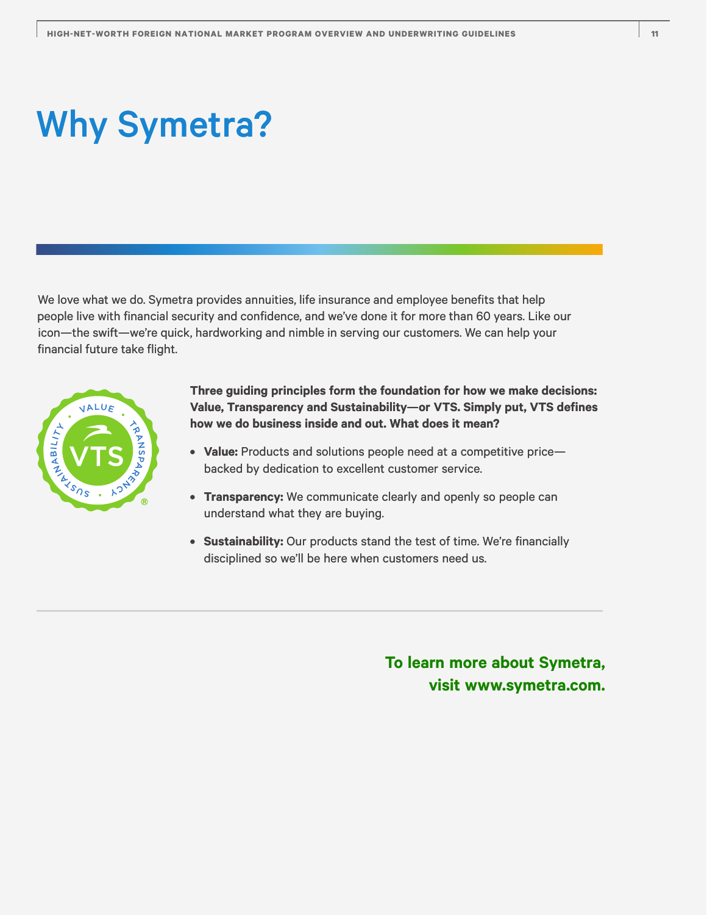# Why Symetra?

We love what we do. Symetra provides annuities, life insurance and employee benefits that help people live with financial security and confidence, and we've done it for more than 60 years. Like our icon—the swift—we're quick, hardworking and nimble in serving our customers. We can help your financial future take flight.



**Three guiding principles form the foundation for how we make decisions: Value, Transparency and Sustainability—or VTS. Simply put, VTS defines how we do business inside and out. What does it mean?**

- **Value:** Products and solutions people need at a competitive price backed by dedication to excellent customer service.
- **Transparency:** We communicate clearly and openly so people can understand what they are buying.
- **Sustainability:** Our products stand the test of time. We're financially disciplined so we'll be here when customers need us.

**To learn more about Symetra, visit [www.symetra.com.](http://www.symetra.com)**